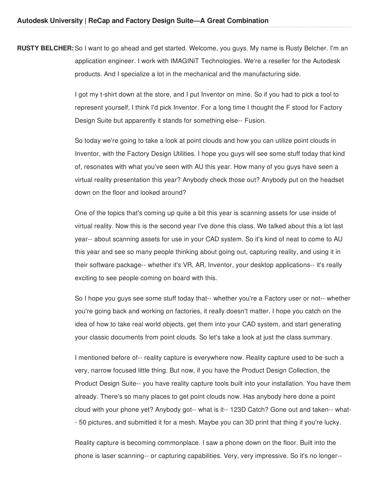**RUSTY BELCHER:** So I want to go ahead and get started. Welcome, you guys. My name is Rusty Belcher. I'm an application engineer. I work with IMAGINiT Technologies. We're a reseller for the Autodesk products. And I specialize a lot in the mechanical and the manufacturing side.

> I got my t-shirt down at the store, and I put Inventor on mine. So if you had to pick a tool to represent yourself, I think I'd pick Inventor. For a long time I thought the F stood for Factory Design Suite but apparently it stands for something else-- Fusion.

So today we're going to take a look at point clouds and how you can utilize point clouds in Inventor, with the Factory Design Utilities. I hope you guys will see some stuff today that kind of, resonates with what you've seen with AU this year. How many of you guys have seen a virtual reality presentation this year? Anybody check those out? Anybody put on the headset down on the floor and looked around?

One of the topics that's coming up quite a bit this year is scanning assets for use inside of virtual reality. Now this is the second year I've done this class. We talked about this a lot last year-- about scanning assets for use in your CAD system. So it's kind of neat to come to AU this year and see so many people thinking about going out, capturing reality, and using it in their software package-- whether it's VR, AR, Inventor, your desktop applications-- it's really exciting to see people coming on board with this.

So I hope you guys see some stuff today that-- whether you're a Factory user or not-- whether you're going back and working on factories, it really doesn't matter. I hope you catch on the idea of how to take real world objects, get them into your CAD system, and start generating your classic documents from point clouds. So let's take a look at just the class summary.

I mentioned before of-- reality capture is everywhere now. Reality capture used to be such a very, narrow focused little thing. But now, if you have the Product Design Collection, the Product Design Suite-- you have reality capture tools built into your installation. You have them already. There's so many places to get point clouds now. Has anybody here done a point cloud with your phone yet? Anybody got-- what is it-- 123D Catch? Gone out and taken-- what- - 50 pictures, and submitted it for a mesh. Maybe you can 3D print that thing if you're lucky.

Reality capture is becoming commonplace. I saw a phone down on the floor. Built into the phone is laser scanning-- or capturing capabilities. Very, very impressive. So it's no longer--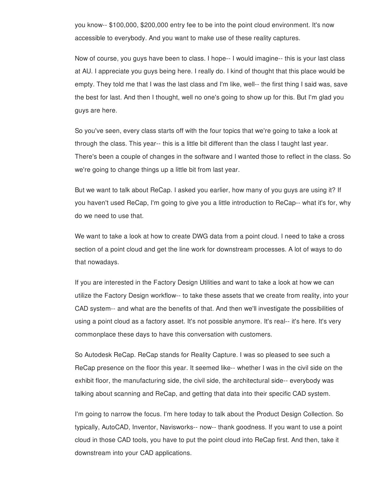you know-- \$100,000, \$200,000 entry fee to be into the point cloud environment. It's now accessible to everybody. And you want to make use of these reality captures.

Now of course, you guys have been to class. I hope-- I would imagine-- this is your last class at AU. I appreciate you guys being here. I really do. I kind of thought that this place would be empty. They told me that I was the last class and I'm like, well-- the first thing I said was, save the best for last. And then I thought, well no one's going to show up for this. But I'm glad you guys are here.

So you've seen, every class starts off with the four topics that we're going to take a look at through the class. This year-- this is a little bit different than the class I taught last year. There's been a couple of changes in the software and I wanted those to reflect in the class. So we're going to change things up a little bit from last year.

But we want to talk about ReCap. I asked you earlier, how many of you guys are using it? If you haven't used ReCap, I'm going to give you a little introduction to ReCap-- what it's for, why do we need to use that.

We want to take a look at how to create DWG data from a point cloud. I need to take a cross section of a point cloud and get the line work for downstream processes. A lot of ways to do that nowadays.

If you are interested in the Factory Design Utilities and want to take a look at how we can utilize the Factory Design workflow-- to take these assets that we create from reality, into your CAD system-- and what are the benefits of that. And then we'll investigate the possibilities of using a point cloud as a factory asset. It's not possible anymore. It's real-- it's here. It's very commonplace these days to have this conversation with customers.

So Autodesk ReCap. ReCap stands for Reality Capture. I was so pleased to see such a ReCap presence on the floor this year. It seemed like-- whether I was in the civil side on the exhibit floor, the manufacturing side, the civil side, the architectural side-- everybody was talking about scanning and ReCap, and getting that data into their specific CAD system.

I'm going to narrow the focus. I'm here today to talk about the Product Design Collection. So typically, AutoCAD, Inventor, Navisworks-- now-- thank goodness. If you want to use a point cloud in those CAD tools, you have to put the point cloud into ReCap first. And then, take it downstream into your CAD applications.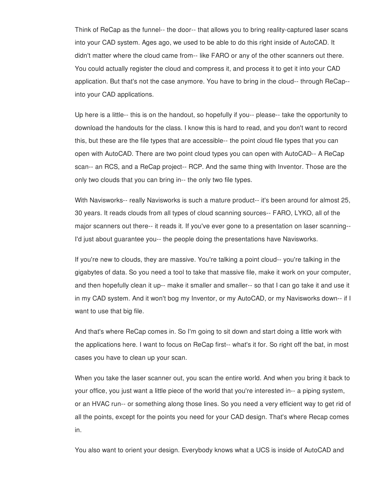Think of ReCap as the funnel-- the door-- that allows you to bring reality-captured laser scans into your CAD system. Ages ago, we used to be able to do this right inside of AutoCAD. It didn't matter where the cloud came from-- like FARO or any of the other scanners out there. You could actually register the cloud and compress it, and process it to get it into your CAD application. But that's not the case anymore. You have to bring in the cloud-- through ReCap- into your CAD applications.

Up here is a little-- this is on the handout, so hopefully if you-- please-- take the opportunity to download the handouts for the class. I know this is hard to read, and you don't want to record this, but these are the file types that are accessible-- the point cloud file types that you can open with AutoCAD. There are two point cloud types you can open with AutoCAD-- A ReCap scan-- an RCS, and a ReCap project-- RCP. And the same thing with Inventor. Those are the only two clouds that you can bring in-- the only two file types.

With Navisworks-- really Navisworks is such a mature product-- it's been around for almost 25, 30 years. It reads clouds from all types of cloud scanning sources-- FARO, LYKO, all of the major scanners out there-- it reads it. If you've ever gone to a presentation on laser scanning-- I'd just about guarantee you-- the people doing the presentations have Navisworks.

If you're new to clouds, they are massive. You're talking a point cloud-- you're talking in the gigabytes of data. So you need a tool to take that massive file, make it work on your computer, and then hopefully clean it up-- make it smaller and smaller-- so that I can go take it and use it in my CAD system. And it won't bog my Inventor, or my AutoCAD, or my Navisworks down-- if I want to use that big file.

And that's where ReCap comes in. So I'm going to sit down and start doing a little work with the applications here. I want to focus on ReCap first-- what's it for. So right off the bat, in most cases you have to clean up your scan.

When you take the laser scanner out, you scan the entire world. And when you bring it back to your office, you just want a little piece of the world that you're interested in-- a piping system, or an HVAC run-- or something along those lines. So you need a very efficient way to get rid of all the points, except for the points you need for your CAD design. That's where Recap comes in.

You also want to orient your design. Everybody knows what a UCS is inside of AutoCAD and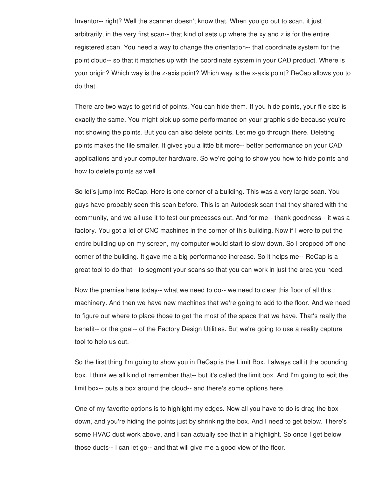Inventor-- right? Well the scanner doesn't know that. When you go out to scan, it just arbitrarily, in the very first scan-- that kind of sets up where the xy and z is for the entire registered scan. You need a way to change the orientation-- that coordinate system for the point cloud-- so that it matches up with the coordinate system in your CAD product. Where is your origin? Which way is the z-axis point? Which way is the x-axis point? ReCap allows you to do that.

There are two ways to get rid of points. You can hide them. If you hide points, your file size is exactly the same. You might pick up some performance on your graphic side because you're not showing the points. But you can also delete points. Let me go through there. Deleting points makes the file smaller. It gives you a little bit more-- better performance on your CAD applications and your computer hardware. So we're going to show you how to hide points and how to delete points as well.

So let's jump into ReCap. Here is one corner of a building. This was a very large scan. You guys have probably seen this scan before. This is an Autodesk scan that they shared with the community, and we all use it to test our processes out. And for me-- thank goodness-- it was a factory. You got a lot of CNC machines in the corner of this building. Now if I were to put the entire building up on my screen, my computer would start to slow down. So I cropped off one corner of the building. It gave me a big performance increase. So it helps me-- ReCap is a great tool to do that-- to segment your scans so that you can work in just the area you need.

Now the premise here today-- what we need to do-- we need to clear this floor of all this machinery. And then we have new machines that we're going to add to the floor. And we need to figure out where to place those to get the most of the space that we have. That's really the benefit-- or the goal-- of the Factory Design Utilities. But we're going to use a reality capture tool to help us out.

So the first thing I'm going to show you in ReCap is the Limit Box. I always call it the bounding box. I think we all kind of remember that-- but it's called the limit box. And I'm going to edit the limit box-- puts a box around the cloud-- and there's some options here.

One of my favorite options is to highlight my edges. Now all you have to do is drag the box down, and you're hiding the points just by shrinking the box. And I need to get below. There's some HVAC duct work above, and I can actually see that in a highlight. So once I get below those ducts-- I can let go-- and that will give me a good view of the floor.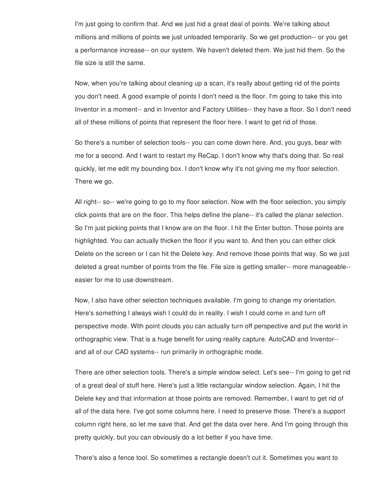I'm just going to confirm that. And we just hid a great deal of points. We're talking about millions and millions of points we just unloaded temporarily. So we get production-- or you get a performance increase-- on our system. We haven't deleted them. We just hid them. So the file size is still the same.

Now, when you're talking about cleaning up a scan, it's really about getting rid of the points you don't need. A good example of points I don't need is the floor. I'm going to take this into Inventor in a moment-- and in Inventor and Factory Utilities-- they have a floor. So I don't need all of these millions of points that represent the floor here. I want to get rid of those.

So there's a number of selection tools-- you can come down here. And, you guys, bear with me for a second. And I want to restart my ReCap. I don't know why that's doing that. So real quickly, let me edit my bounding box. I don't know why it's not giving me my floor selection. There we go.

All right-- so-- we're going to go to my floor selection. Now with the floor selection, you simply click points that are on the floor. This helps define the plane-- it's called the planar selection. So I'm just picking points that I know are on the floor. I hit the Enter button. Those points are highlighted. You can actually thicken the floor if you want to. And then you can either click Delete on the screen or I can hit the Delete key. And remove those points that way. So we just deleted a great number of points from the file. File size is getting smaller-- more manageable- easier for me to use downstream.

Now, I also have other selection techniques available. I'm going to change my orientation. Here's something I always wish I could do in reality. I wish I could come in and turn off perspective mode. With point clouds you can actually turn off perspective and put the world in orthographic view. That is a huge benefit for using reality capture. AutoCAD and Inventor- and all of our CAD systems-- run primarily in orthographic mode.

There are other selection tools. There's a simple window select. Let's see-- I'm going to get rid of a great deal of stuff here. Here's just a little rectangular window selection. Again, I hit the Delete key and that information at those points are removed. Remember, I want to get rid of all of the data here. I've got some columns here. I need to preserve those. There's a support column right here, so let me save that. And get the data over here. And I'm going through this pretty quickly, but you can obviously do a lot better if you have time.

There's also a fence tool. So sometimes a rectangle doesn't cut it. Sometimes you want to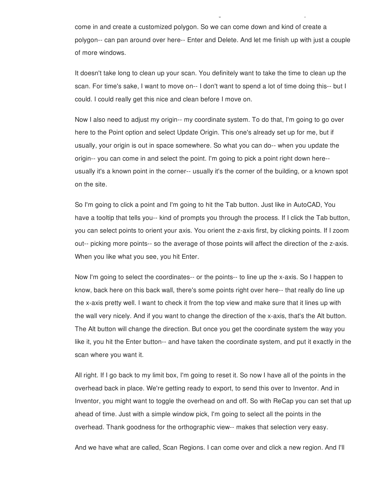come in and create a customized polygon. So we can come down and kind of create a polygon-- can pan around over here-- Enter and Delete. And let me finish up with just a couple of more windows.

There's also a fence tool. So sometimes a rectangle doesn't cut it. Sometimes you want to

It doesn't take long to clean up your scan. You definitely want to take the time to clean up the scan. For time's sake, I want to move on-- I don't want to spend a lot of time doing this-- but I could. I could really get this nice and clean before I move on.

Now I also need to adjust my origin-- my coordinate system. To do that, I'm going to go over here to the Point option and select Update Origin. This one's already set up for me, but if usually, your origin is out in space somewhere. So what you can do-- when you update the origin-- you can come in and select the point. I'm going to pick a point right down here- usually it's a known point in the corner-- usually it's the corner of the building, or a known spot on the site.

So I'm going to click a point and I'm going to hit the Tab button. Just like in AutoCAD, You have a tooltip that tells you-- kind of prompts you through the process. If I click the Tab button, you can select points to orient your axis. You orient the z-axis first, by clicking points. If I zoom out-- picking more points-- so the average of those points will affect the direction of the z-axis. When you like what you see, you hit Enter.

Now I'm going to select the coordinates-- or the points-- to line up the x-axis. So I happen to know, back here on this back wall, there's some points right over here-- that really do line up the x-axis pretty well. I want to check it from the top view and make sure that it lines up with the wall very nicely. And if you want to change the direction of the x-axis, that's the Alt button. The Alt button will change the direction. But once you get the coordinate system the way you like it, you hit the Enter button-- and have taken the coordinate system, and put it exactly in the scan where you want it.

All right. If I go back to my limit box, I'm going to reset it. So now I have all of the points in the overhead back in place. We're getting ready to export, to send this over to Inventor. And in Inventor, you might want to toggle the overhead on and off. So with ReCap you can set that up ahead of time. Just with a simple window pick, I'm going to select all the points in the overhead. Thank goodness for the orthographic view-- makes that selection very easy.

And we have what are called, Scan Regions. I can come over and click a new region. And I'll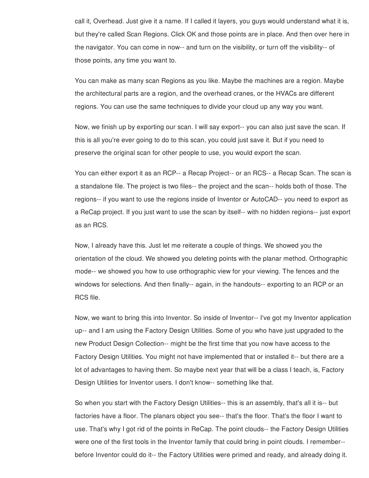call it, Overhead. Just give it a name. If I called it layers, you guys would understand what it is, but they're called Scan Regions. Click OK and those points are in place. And then over here in the navigator. You can come in now-- and turn on the visibility, or turn off the visibility-- of those points, any time you want to.

You can make as many scan Regions as you like. Maybe the machines are a region. Maybe the architectural parts are a region, and the overhead cranes, or the HVACs are different regions. You can use the same techniques to divide your cloud up any way you want.

Now, we finish up by exporting our scan. I will say export-- you can also just save the scan. If this is all you're ever going to do to this scan, you could just save it. But if you need to preserve the original scan for other people to use, you would export the scan.

You can either export it as an RCP-- a Recap Project-- or an RCS-- a Recap Scan. The scan is a standalone file. The project is two files-- the project and the scan-- holds both of those. The regions-- if you want to use the regions inside of Inventor or AutoCAD-- you need to export as a ReCap project. If you just want to use the scan by itself-- with no hidden regions-- just export as an RCS.

Now, I already have this. Just let me reiterate a couple of things. We showed you the orientation of the cloud. We showed you deleting points with the planar method. Orthographic mode-- we showed you how to use orthographic view for your viewing. The fences and the windows for selections. And then finally-- again, in the handouts-- exporting to an RCP or an RCS file.

Now, we want to bring this into Inventor. So inside of Inventor-- I've got my Inventor application up-- and I am using the Factory Design Utilities. Some of you who have just upgraded to the new Product Design Collection-- might be the first time that you now have access to the Factory Design Utilities. You might not have implemented that or installed it-- but there are a lot of advantages to having them. So maybe next year that will be a class I teach, is, Factory Design Utilities for Inventor users. I don't know-- something like that.

So when you start with the Factory Design Utilities-- this is an assembly, that's all it is-- but factories have a floor. The planars object you see-- that's the floor. That's the floor I want to use. That's why I got rid of the points in ReCap. The point clouds-- the Factory Design Utilities were one of the first tools in the Inventor family that could bring in point clouds. I remember- before Inventor could do it-- the Factory Utilities were primed and ready, and already doing it.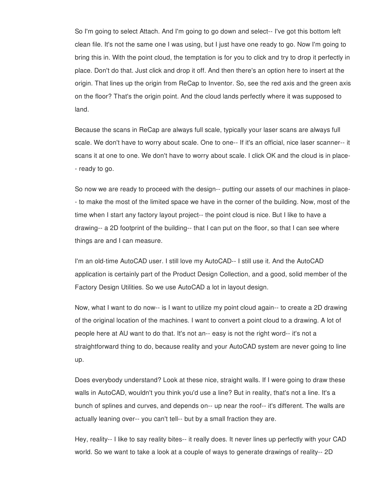So I'm going to select Attach. And I'm going to go down and select-- I've got this bottom left clean file. It's not the same one I was using, but I just have one ready to go. Now I'm going to bring this in. With the point cloud, the temptation is for you to click and try to drop it perfectly in place. Don't do that. Just click and drop it off. And then there's an option here to insert at the origin. That lines up the origin from ReCap to Inventor. So, see the red axis and the green axis on the floor? That's the origin point. And the cloud lands perfectly where it was supposed to land.

Because the scans in ReCap are always full scale, typically your laser scans are always full scale. We don't have to worry about scale. One to one-- If it's an official, nice laser scanner-- it scans it at one to one. We don't have to worry about scale. I click OK and the cloud is in place- - ready to go.

So now we are ready to proceed with the design-- putting our assets of our machines in place- - to make the most of the limited space we have in the corner of the building. Now, most of the time when I start any factory layout project-- the point cloud is nice. But I like to have a drawing-- a 2D footprint of the building-- that I can put on the floor, so that I can see where things are and I can measure.

I'm an old-time AutoCAD user. I still love my AutoCAD-- I still use it. And the AutoCAD application is certainly part of the Product Design Collection, and a good, solid member of the Factory Design Utilities. So we use AutoCAD a lot in layout design.

Now, what I want to do now-- is I want to utilize my point cloud again-- to create a 2D drawing of the original location of the machines. I want to convert a point cloud to a drawing. A lot of people here at AU want to do that. It's not an-- easy is not the right word-- it's not a straightforward thing to do, because reality and your AutoCAD system are never going to line up.

Does everybody understand? Look at these nice, straight walls. If I were going to draw these walls in AutoCAD, wouldn't you think you'd use a line? But in reality, that's not a line. It's a bunch of splines and curves, and depends on-- up near the roof-- it's different. The walls are actually leaning over-- you can't tell-- but by a small fraction they are.

Hey, reality-- I like to say reality bites-- it really does. It never lines up perfectly with your CAD world. So we want to take a look at a couple of ways to generate drawings of reality-- 2D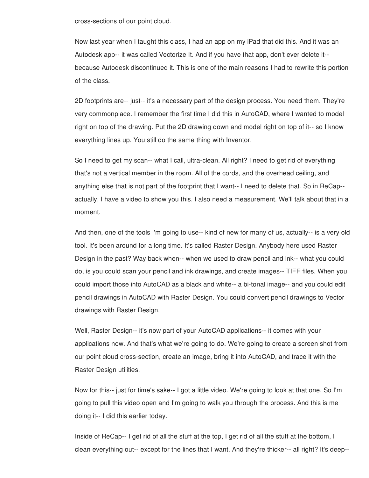cross-sections of our point cloud.

Now last year when I taught this class, I had an app on my iPad that did this. And it was an Autodesk app-- it was called Vectorize It. And if you have that app, don't ever delete it- because Autodesk discontinued it. This is one of the main reasons I had to rewrite this portion of the class.

2D footprints are-- just-- it's a necessary part of the design process. You need them. They're very commonplace. I remember the first time I did this in AutoCAD, where I wanted to model right on top of the drawing. Put the 2D drawing down and model right on top of it-- so I know everything lines up. You still do the same thing with Inventor.

So I need to get my scan-- what I call, ultra-clean. All right? I need to get rid of everything that's not a vertical member in the room. All of the cords, and the overhead ceiling, and anything else that is not part of the footprint that I want-- I need to delete that. So in ReCap- actually, I have a video to show you this. I also need a measurement. We'll talk about that in a moment.

And then, one of the tools I'm going to use-- kind of new for many of us, actually-- is a very old tool. It's been around for a long time. It's called Raster Design. Anybody here used Raster Design in the past? Way back when-- when we used to draw pencil and ink-- what you could do, is you could scan your pencil and ink drawings, and create images-- TIFF files. When you could import those into AutoCAD as a black and white-- a bi-tonal image-- and you could edit pencil drawings in AutoCAD with Raster Design. You could convert pencil drawings to Vector drawings with Raster Design.

Well, Raster Design-- it's now part of your AutoCAD applications-- it comes with your applications now. And that's what we're going to do. We're going to create a screen shot from our point cloud cross-section, create an image, bring it into AutoCAD, and trace it with the Raster Design utilities.

Now for this-- just for time's sake-- I got a little video. We're going to look at that one. So I'm going to pull this video open and I'm going to walk you through the process. And this is me doing it-- I did this earlier today.

Inside of ReCap-- I get rid of all the stuff at the top, I get rid of all the stuff at the bottom, I clean everything out-- except for the lines that I want. And they're thicker-- all right? It's deep--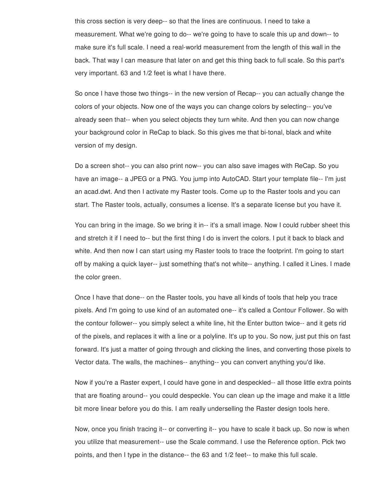this cross section is very deep-- so that the lines are continuous. I need to take a measurement. What we're going to do-- we're going to have to scale this up and down-- to make sure it's full scale. I need a real-world measurement from the length of this wall in the back. That way I can measure that later on and get this thing back to full scale. So this part's very important. 63 and 1/2 feet is what I have there.

So once I have those two things-- in the new version of Recap-- you can actually change the colors of your objects. Now one of the ways you can change colors by selecting-- you've already seen that-- when you select objects they turn white. And then you can now change your background color in ReCap to black. So this gives me that bi-tonal, black and white version of my design.

Do a screen shot-- you can also print now-- you can also save images with ReCap. So you have an image-- a JPEG or a PNG. You jump into AutoCAD. Start your template file-- I'm just an acad.dwt. And then I activate my Raster tools. Come up to the Raster tools and you can start. The Raster tools, actually, consumes a license. It's a separate license but you have it.

You can bring in the image. So we bring it in-- it's a small image. Now I could rubber sheet this and stretch it if I need to-- but the first thing I do is invert the colors. I put it back to black and white. And then now I can start using my Raster tools to trace the footprint. I'm going to start off by making a quick layer-- just something that's not white-- anything. I called it Lines. I made the color green.

Once I have that done-- on the Raster tools, you have all kinds of tools that help you trace pixels. And I'm going to use kind of an automated one-- it's called a Contour Follower. So with the contour follower-- you simply select a white line, hit the Enter button twice-- and it gets rid of the pixels, and replaces it with a line or a polyline. It's up to you. So now, just put this on fast forward. It's just a matter of going through and clicking the lines, and converting those pixels to Vector data. The walls, the machines-- anything-- you can convert anything you'd like.

Now if you're a Raster expert, I could have gone in and despeckled-- all those little extra points that are floating around-- you could despeckle. You can clean up the image and make it a little bit more linear before you do this. I am really underselling the Raster design tools here.

Now, once you finish tracing it-- or converting it-- you have to scale it back up. So now is when you utilize that measurement-- use the Scale command. I use the Reference option. Pick two points, and then I type in the distance-- the 63 and 1/2 feet-- to make this full scale.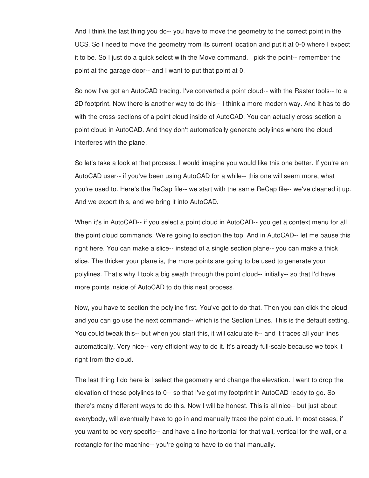And I think the last thing you do-- you have to move the geometry to the correct point in the UCS. So I need to move the geometry from its current location and put it at 0-0 where I expect it to be. So I just do a quick select with the Move command. I pick the point-- remember the point at the garage door-- and I want to put that point at 0.

So now I've got an AutoCAD tracing. I've converted a point cloud-- with the Raster tools-- to a 2D footprint. Now there is another way to do this-- I think a more modern way. And it has to do with the cross-sections of a point cloud inside of AutoCAD. You can actually cross-section a point cloud in AutoCAD. And they don't automatically generate polylines where the cloud interferes with the plane.

So let's take a look at that process. I would imagine you would like this one better. If you're an AutoCAD user-- if you've been using AutoCAD for a while-- this one will seem more, what you're used to. Here's the ReCap file-- we start with the same ReCap file-- we've cleaned it up. And we export this, and we bring it into AutoCAD.

When it's in AutoCAD-- if you select a point cloud in AutoCAD-- you get a context menu for all the point cloud commands. We're going to section the top. And in AutoCAD-- let me pause this right here. You can make a slice-- instead of a single section plane-- you can make a thick slice. The thicker your plane is, the more points are going to be used to generate your polylines. That's why I took a big swath through the point cloud-- initially-- so that I'd have more points inside of AutoCAD to do this next process.

Now, you have to section the polyline first. You've got to do that. Then you can click the cloud and you can go use the next command-- which is the Section Lines. This is the default setting. You could tweak this-- but when you start this, it will calculate it-- and it traces all your lines automatically. Very nice-- very efficient way to do it. It's already full-scale because we took it right from the cloud.

The last thing I do here is I select the geometry and change the elevation. I want to drop the elevation of those polylines to 0-- so that I've got my footprint in AutoCAD ready to go. So there's many different ways to do this. Now I will be honest. This is all nice-- but just about everybody, will eventually have to go in and manually trace the point cloud. In most cases, if you want to be very specific-- and have a line horizontal for that wall, vertical for the wall, or a rectangle for the machine-- you're going to have to do that manually.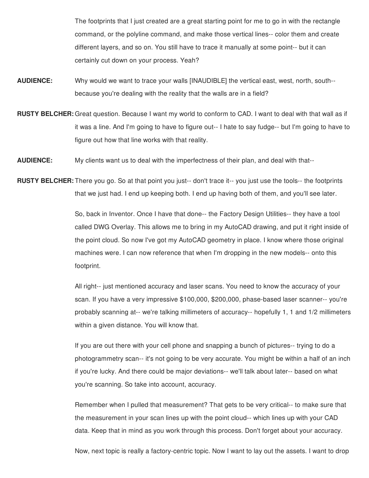The footprints that I just created are a great starting point for me to go in with the rectangle command, or the polyline command, and make those vertical lines-- color them and create different layers, and so on. You still have to trace it manually at some point-- but it can certainly cut down on your process. Yeah?

- **AUDIENCE:** Why would we want to trace your walls [INAUDIBLE] the vertical east, west, north, south- because you're dealing with the reality that the walls are in a field?
- **RUSTY BELCHER:** Great question. Because I want my world to conform to CAD. I want to deal with that wall as if it was a line. And I'm going to have to figure out-- I hate to say fudge-- but I'm going to have to figure out how that line works with that reality.
- **AUDIENCE:** My clients want us to deal with the imperfectness of their plan, and deal with that--
- **RUSTY BELCHER:** There you go. So at that point you just-- don't trace it-- you just use the tools-- the footprints that we just had. I end up keeping both. I end up having both of them, and you'll see later.

So, back in Inventor. Once I have that done-- the Factory Design Utilities-- they have a tool called DWG Overlay. This allows me to bring in my AutoCAD drawing, and put it right inside of the point cloud. So now I've got my AutoCAD geometry in place. I know where those original machines were. I can now reference that when I'm dropping in the new models-- onto this footprint.

All right-- just mentioned accuracy and laser scans. You need to know the accuracy of your scan. If you have a very impressive \$100,000, \$200,000, phase-based laser scanner-- you're probably scanning at-- we're talking millimeters of accuracy-- hopefully 1, 1 and 1/2 millimeters within a given distance. You will know that.

If you are out there with your cell phone and snapping a bunch of pictures-- trying to do a photogrammetry scan-- it's not going to be very accurate. You might be within a half of an inch if you're lucky. And there could be major deviations-- we'll talk about later-- based on what you're scanning. So take into account, accuracy.

Remember when I pulled that measurement? That gets to be very critical-- to make sure that the measurement in your scan lines up with the point cloud-- which lines up with your CAD data. Keep that in mind as you work through this process. Don't forget about your accuracy.

Now, next topic is really a factory-centric topic. Now I want to lay out the assets. I want to drop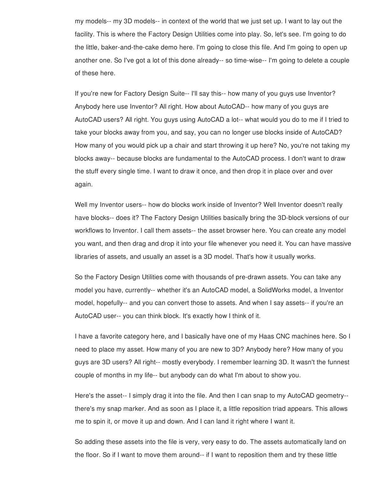my models-- my 3D models-- in context of the world that we just set up. I want to lay out the facility. This is where the Factory Design Utilities come into play. So, let's see. I'm going to do the little, baker-and-the-cake demo here. I'm going to close this file. And I'm going to open up another one. So I've got a lot of this done already-- so time-wise-- I'm going to delete a couple of these here.

If you're new for Factory Design Suite-- I'll say this-- how many of you guys use Inventor? Anybody here use Inventor? All right. How about AutoCAD-- how many of you guys are AutoCAD users? All right. You guys using AutoCAD a lot-- what would you do to me if I tried to take your blocks away from you, and say, you can no longer use blocks inside of AutoCAD? How many of you would pick up a chair and start throwing it up here? No, you're not taking my blocks away-- because blocks are fundamental to the AutoCAD process. I don't want to draw the stuff every single time. I want to draw it once, and then drop it in place over and over again.

Well my Inventor users-- how do blocks work inside of Inventor? Well Inventor doesn't really have blocks-- does it? The Factory Design Utilities basically bring the 3D-block versions of our workflows to Inventor. I call them assets-- the asset browser here. You can create any model you want, and then drag and drop it into your file whenever you need it. You can have massive libraries of assets, and usually an asset is a 3D model. That's how it usually works.

So the Factory Design Utilities come with thousands of pre-drawn assets. You can take any model you have, currently-- whether it's an AutoCAD model, a SolidWorks model, a Inventor model, hopefully-- and you can convert those to assets. And when I say assets-- if you're an AutoCAD user-- you can think block. It's exactly how I think of it.

I have a favorite category here, and I basically have one of my Haas CNC machines here. So I need to place my asset. How many of you are new to 3D? Anybody here? How many of you guys are 3D users? All right-- mostly everybody. I remember learning 3D. It wasn't the funnest couple of months in my life-- but anybody can do what I'm about to show you.

Here's the asset-- I simply drag it into the file. And then I can snap to my AutoCAD geometry- there's my snap marker. And as soon as I place it, a little reposition triad appears. This allows me to spin it, or move it up and down. And I can land it right where I want it.

So adding these assets into the file is very, very easy to do. The assets automatically land on the floor. So if I want to move them around-- if I want to reposition them and try these little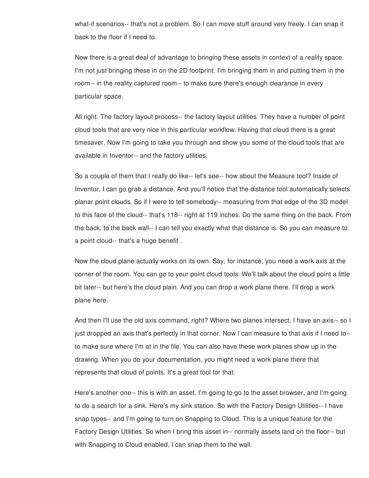what-if scenarios-- that's not a problem. So I can move stuff around very freely. I can snap it back to the floor if I need to.

Now there is a great deal of advantage to bringing these assets in context of a reality space. I'm not just bringing these in on the 2D footprint. I'm bringing them in and putting them in the room-- in the reality captured room-- to make sure there's enough clearance in every particular space.

All right. The factory layout process-- the factory layout utilities. They have a number of point cloud tools that are very nice in this particular workflow. Having that cloud there is a great timesaver. Now I'm going to take you through and show you some of the cloud tools that are available in Inventor-- and the factory utilities.

So a couple of them that I really do like-- let's see-- how about the Measure tool? Inside of Inventor, I can go grab a distance. And you'll notice that the distance tool automatically selects planar point clouds. So if I were to tell somebody-- measuring from that edge of the 3D model to this face of the cloud-- that's 118-- right at 119 inches. Do the same thing on the back. From the back, to the back wall-- I can tell you exactly what that distance is. So you can measure to a point cloud-- that's a huge benefit .

Now the cloud plane actually works on its own. Say, for instance, you need a work axis at the corner of the room. You can go to your point cloud tools. We'll talk about the cloud point a little bit later-- but here's the cloud plain. And you can drop a work plane there. I'll drop a work plane here.

And then I'll use the old axis command, right? Where two planes intersect, I have an axis-- so I just dropped an axis that's perfectly in that corner. Now I can measure to that axis if I need to- to make sure where I'm at in the file. You can also have these work planes show up in the drawing. When you do your documentation, you might need a work plane there that represents that cloud of points. It's a great tool for that.

Here's another one-- this is with an asset. I'm going to go to the asset browser, and I'm going to do a search for a sink. Here's my sink station. So with the Factory Design Utilities-- I have snap types-- and I'm going to turn on Snapping to Cloud. This is a unique feature for the Factory Design Utilities. So when I bring this asset in-- normally assets land on the floor-- but with Snapping to Cloud enabled, I can snap them to the wall.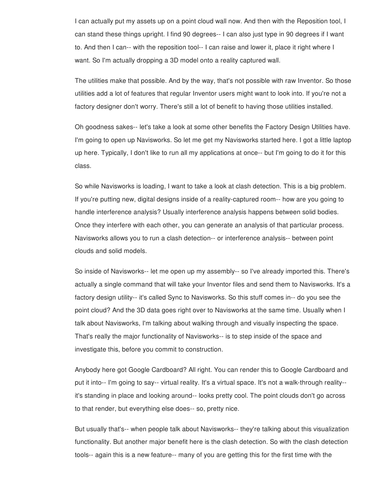I can actually put my assets up on a point cloud wall now. And then with the Reposition tool, I can stand these things upright. I find 90 degrees-- I can also just type in 90 degrees if I want to. And then I can-- with the reposition tool-- I can raise and lower it, place it right where I want. So I'm actually dropping a 3D model onto a reality captured wall.

The utilities make that possible. And by the way, that's not possible with raw Inventor. So those utilities add a lot of features that regular Inventor users might want to look into. If you're not a factory designer don't worry. There's still a lot of benefit to having those utilities installed.

Oh goodness sakes-- let's take a look at some other benefits the Factory Design Utilities have. I'm going to open up Navisworks. So let me get my Navisworks started here. I got a little laptop up here. Typically, I don't like to run all my applications at once-- but I'm going to do it for this class.

So while Navisworks is loading, I want to take a look at clash detection. This is a big problem. If you're putting new, digital designs inside of a reality-captured room-- how are you going to handle interference analysis? Usually interference analysis happens between solid bodies. Once they interfere with each other, you can generate an analysis of that particular process. Navisworks allows you to run a clash detection-- or interference analysis-- between point clouds and solid models.

So inside of Navisworks-- let me open up my assembly-- so I've already imported this. There's actually a single command that will take your Inventor files and send them to Navisworks. It's a factory design utility-- it's called Sync to Navisworks. So this stuff comes in-- do you see the point cloud? And the 3D data goes right over to Navisworks at the same time. Usually when I talk about Navisworks, I'm talking about walking through and visually inspecting the space. That's really the major functionality of Navisworks-- is to step inside of the space and investigate this, before you commit to construction.

Anybody here got Google Cardboard? All right. You can render this to Google Cardboard and put it into-- I'm going to say-- virtual reality. It's a virtual space. It's not a walk-through reality- it's standing in place and looking around-- looks pretty cool. The point clouds don't go across to that render, but everything else does-- so, pretty nice.

But usually that's-- when people talk about Navisworks-- they're talking about this visualization functionality. But another major benefit here is the clash detection. So with the clash detection tools-- again this is a new feature-- many of you are getting this for the first time with the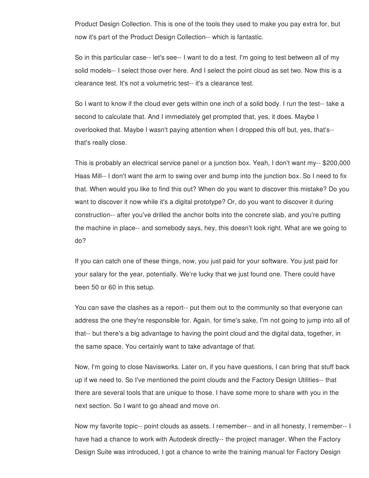Product Design Collection. This is one of the tools they used to make you pay extra for, but now it's part of the Product Design Collection-- which is fantastic.

So in this particular case-- let's see-- I want to do a test. I'm going to test between all of my solid models-- I select those over here. And I select the point cloud as set two. Now this is a clearance test. It's not a volumetric test-- it's a clearance test.

So I want to know if the cloud ever gets within one inch of a solid body. I run the test-- take a second to calculate that. And I immediately get prompted that, yes, it does. Maybe I overlooked that. Maybe I wasn't paying attention when I dropped this off but, yes, that's- that's really close.

This is probably an electrical service panel or a junction box. Yeah, I don't want my-- \$200,000 Haas Mill-- I don't want the arm to swing over and bump into the junction box. So I need to fix that. When would you like to find this out? When do you want to discover this mistake? Do you want to discover it now while it's a digital prototype? Or, do you want to discover it during construction-- after you've drilled the anchor bolts into the concrete slab, and you're putting the machine in place-- and somebody says, hey, this doesn't look right. What are we going to do?

If you can catch one of these things, now, you just paid for your software. You just paid for your salary for the year, potentially. We're lucky that we just found one. There could have been 50 or 60 in this setup.

You can save the clashes as a report-- put them out to the community so that everyone can address the one they're responsible for. Again, for time's sake, I'm not going to jump into all of that-- but there's a big advantage to having the point cloud and the digital data, together, in the same space. You certainly want to take advantage of that.

Now, I'm going to close Navisworks. Later on, if you have questions, I can bring that stuff back up if we need to. So I've mentioned the point clouds and the Factory Design Utilities-- that there are several tools that are unique to those. I have some more to share with you in the next section. So I want to go ahead and move on.

Now my favorite topic-- point clouds as assets. I remember-- and in all honesty, I remember-- I have had a chance to work with Autodesk directly-- the project manager. When the Factory Design Suite was introduced, I got a chance to write the training manual for Factory Design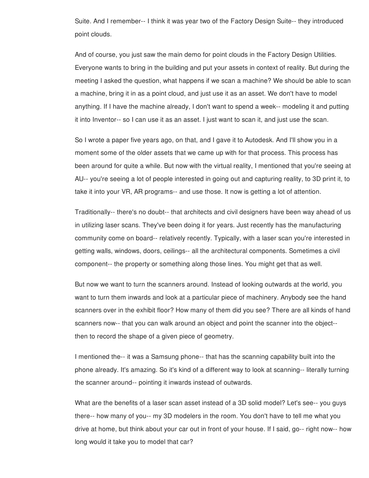Suite. And I remember-- I think it was year two of the Factory Design Suite-- they introduced point clouds.

And of course, you just saw the main demo for point clouds in the Factory Design Utilities. Everyone wants to bring in the building and put your assets in context of reality. But during the meeting I asked the question, what happens if we scan a machine? We should be able to scan a machine, bring it in as a point cloud, and just use it as an asset. We don't have to model anything. If I have the machine already, I don't want to spend a week-- modeling it and putting it into Inventor-- so I can use it as an asset. I just want to scan it, and just use the scan.

So I wrote a paper five years ago, on that, and I gave it to Autodesk. And I'll show you in a moment some of the older assets that we came up with for that process. This process has been around for quite a while. But now with the virtual reality, I mentioned that you're seeing at AU-- you're seeing a lot of people interested in going out and capturing reality, to 3D print it, to take it into your VR, AR programs-- and use those. It now is getting a lot of attention.

Traditionally-- there's no doubt-- that architects and civil designers have been way ahead of us in utilizing laser scans. They've been doing it for years. Just recently has the manufacturing community come on board-- relatively recently. Typically, with a laser scan you're interested in getting walls, windows, doors, ceilings-- all the architectural components. Sometimes a civil component-- the property or something along those lines. You might get that as well.

But now we want to turn the scanners around. Instead of looking outwards at the world, you want to turn them inwards and look at a particular piece of machinery. Anybody see the hand scanners over in the exhibit floor? How many of them did you see? There are all kinds of hand scanners now-- that you can walk around an object and point the scanner into the object- then to record the shape of a given piece of geometry.

I mentioned the-- it was a Samsung phone-- that has the scanning capability built into the phone already. It's amazing. So it's kind of a different way to look at scanning-- literally turning the scanner around-- pointing it inwards instead of outwards.

What are the benefits of a laser scan asset instead of a 3D solid model? Let's see-- you guys there-- how many of you-- my 3D modelers in the room. You don't have to tell me what you drive at home, but think about your car out in front of your house. If I said, go-- right now-- how long would it take you to model that car?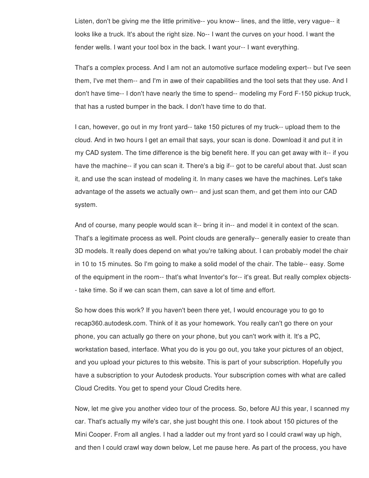Listen, don't be giving me the little primitive-- you know-- lines, and the little, very vague-- it looks like a truck. It's about the right size. No-- I want the curves on your hood. I want the fender wells. I want your tool box in the back. I want your-- I want everything.

That's a complex process. And I am not an automotive surface modeling expert-- but I've seen them, I've met them-- and I'm in awe of their capabilities and the tool sets that they use. And I don't have time-- I don't have nearly the time to spend-- modeling my Ford F-150 pickup truck, that has a rusted bumper in the back. I don't have time to do that.

I can, however, go out in my front yard-- take 150 pictures of my truck-- upload them to the cloud. And in two hours I get an email that says, your scan is done. Download it and put it in my CAD system. The time difference is the big benefit here. If you can get away with it-- if you have the machine-- if you can scan it. There's a big if-- got to be careful about that. Just scan it, and use the scan instead of modeling it. In many cases we have the machines. Let's take advantage of the assets we actually own-- and just scan them, and get them into our CAD system.

And of course, many people would scan it-- bring it in-- and model it in context of the scan. That's a legitimate process as well. Point clouds are generally-- generally easier to create than 3D models. It really does depend on what you're talking about. I can probably model the chair in 10 to 15 minutes. So I'm going to make a solid model of the chair. The table-- easy. Some of the equipment in the room-- that's what Inventor's for-- it's great. But really complex objects- - take time. So if we can scan them, can save a lot of time and effort.

So how does this work? If you haven't been there yet, I would encourage you to go to recap360.autodesk.com. Think of it as your homework. You really can't go there on your phone, you can actually go there on your phone, but you can't work with it. It's a PC, workstation based, interface. What you do is you go out, you take your pictures of an object, and you upload your pictures to this website. This is part of your subscription. Hopefully you have a subscription to your Autodesk products. Your subscription comes with what are called Cloud Credits. You get to spend your Cloud Credits here.

Now, let me give you another video tour of the process. So, before AU this year, I scanned my car. That's actually my wife's car, she just bought this one. I took about 150 pictures of the Mini Cooper. From all angles. I had a ladder out my front yard so I could crawl way up high, and then I could crawl way down below, Let me pause here. As part of the process, you have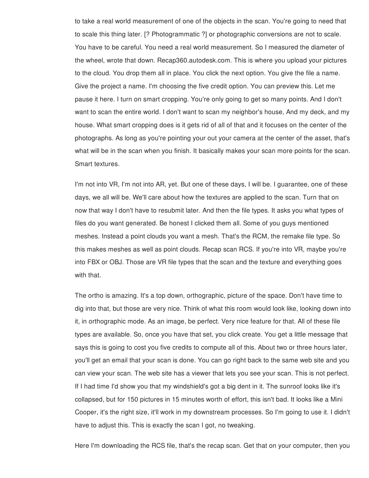to take a real world measurement of one of the objects in the scan. You're going to need that to scale this thing later. [? Photogrammatic ?] or photographic conversions are not to scale. You have to be careful. You need a real world measurement. So I measured the diameter of the wheel, wrote that down. Recap360.autodesk.com. This is where you upload your pictures to the cloud. You drop them all in place. You click the next option. You give the file a name. Give the project a name. I'm choosing the five credit option. You can preview this. Let me pause it here. I turn on smart cropping. You're only going to get so many points. And I don't want to scan the entire world. I don't want to scan my neighbor's house, And my deck, and my house. What smart cropping does is it gets rid of all of that and it focuses on the center of the photographs. As long as you're pointing your out your camera at the center of the asset, that's what will be in the scan when you finish. It basically makes your scan more points for the scan. Smart textures.

I'm not into VR, I'm not into AR, yet. But one of these days, I will be. I guarantee, one of these days, we all will be. We'll care about how the textures are applied to the scan. Turn that on now that way I don't have to resubmit later. And then the file types. It asks you what types of files do you want generated. Be honest I clicked them all. Some of you guys mentioned meshes. Instead a point clouds you want a mesh. That's the RCM, the remake file type. So this makes meshes as well as point clouds. Recap scan RCS. If you're into VR, maybe you're into FBX or OBJ. Those are VR file types that the scan and the texture and everything goes with that.

The ortho is amazing. It's a top down, orthographic, picture of the space. Don't have time to dig into that, but those are very nice. Think of what this room would look like, looking down into it, in orthographic mode. As an image, be perfect. Very nice feature for that. All of these file types are available. So, once you have that set, you click create. You get a little message that says this is going to cost you five credits to compute all of this. About two or three hours later, you'll get an email that your scan is done. You can go right back to the same web site and you can view your scan. The web site has a viewer that lets you see your scan. This is not perfect. If I had time I'd show you that my windshield's got a big dent in it. The sunroof looks like it's collapsed, but for 150 pictures in 15 minutes worth of effort, this isn't bad. It looks like a Mini Cooper, it's the right size, it'll work in my downstream processes. So I'm going to use it. I didn't have to adjust this. This is exactly the scan I got, no tweaking.

Here I'm downloading the RCS file, that's the recap scan. Get that on your computer, then you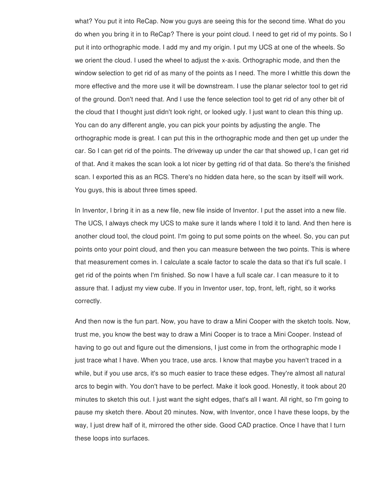what? You put it into ReCap. Now you guys are seeing this for the second time. What do you do when you bring it in to ReCap? There is your point cloud. I need to get rid of my points. So I put it into orthographic mode. I add my and my origin. I put my UCS at one of the wheels. So we orient the cloud. I used the wheel to adjust the x-axis. Orthographic mode, and then the window selection to get rid of as many of the points as I need. The more I whittle this down the more effective and the more use it will be downstream. I use the planar selector tool to get rid of the ground. Don't need that. And I use the fence selection tool to get rid of any other bit of the cloud that I thought just didn't look right, or looked ugly. I just want to clean this thing up. You can do any different angle, you can pick your points by adjusting the angle. The orthographic mode is great. I can put this in the orthographic mode and then get up under the car. So I can get rid of the points. The driveway up under the car that showed up, I can get rid of that. And it makes the scan look a lot nicer by getting rid of that data. So there's the finished scan. I exported this as an RCS. There's no hidden data here, so the scan by itself will work. You guys, this is about three times speed.

In Inventor, I bring it in as a new file, new file inside of Inventor. I put the asset into a new file. The UCS, I always check my UCS to make sure it lands where I told it to land. And then here is another cloud tool, the cloud point. I'm going to put some points on the wheel. So, you can put points onto your point cloud, and then you can measure between the two points. This is where that measurement comes in. I calculate a scale factor to scale the data so that it's full scale. I get rid of the points when I'm finished. So now I have a full scale car. I can measure to it to assure that. I adjust my view cube. If you in Inventor user, top, front, left, right, so it works correctly.

And then now is the fun part. Now, you have to draw a Mini Cooper with the sketch tools. Now, trust me, you know the best way to draw a Mini Cooper is to trace a Mini Cooper. Instead of having to go out and figure out the dimensions, I just come in from the orthographic mode I just trace what I have. When you trace, use arcs. I know that maybe you haven't traced in a while, but if you use arcs, it's so much easier to trace these edges. They're almost all natural arcs to begin with. You don't have to be perfect. Make it look good. Honestly, it took about 20 minutes to sketch this out. I just want the sight edges, that's all I want. All right, so I'm going to pause my sketch there. About 20 minutes. Now, with Inventor, once I have these loops, by the way, I just drew half of it, mirrored the other side. Good CAD practice. Once I have that I turn these loops into surfaces.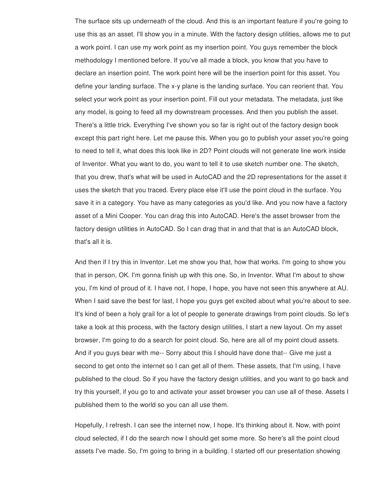The surface sits up underneath of the cloud. And this is an important feature if you're going to use this as an asset. I'll show you in a minute. With the factory design utilities, allows me to put a work point. I can use my work point as my insertion point. You guys remember the block methodology I mentioned before. If you've all made a block, you know that you have to declare an insertion point. The work point here will be the insertion point for this asset. You define your landing surface. The x-y plane is the landing surface. You can reorient that. You select your work point as your insertion point. Fill out your metadata. The metadata, just like any model, is going to feed all my downstream processes. And then you publish the asset. There's a little trick. Everything I've shown you so far is right out of the factory design book except this part right here. Let me pause this. When you go to publish your asset you're going to need to tell it, what does this look like in 2D? Point clouds will not generate line work inside of Inventor. What you want to do, you want to tell it to use sketch number one. The sketch, that you drew, that's what will be used in AutoCAD and the 2D representations for the asset it uses the sketch that you traced. Every place else it'll use the point cloud in the surface. You save it in a category. You have as many categories as you'd like. And you now have a factory asset of a Mini Cooper. You can drag this into AutoCAD. Here's the asset browser from the factory design utilities in AutoCAD. So I can drag that in and that that is an AutoCAD block, that's all it is.

And then if I try this in Inventor. Let me show you that, how that works. I'm going to show you that in person, OK. I'm gonna finish up with this one. So, in Inventor. What I'm about to show you, I'm kind of proud of it. I have not, I hope, I hope, you have not seen this anywhere at AU. When I said save the best for last, I hope you guys get excited about what you're about to see. It's kind of been a holy grail for a lot of people to generate drawings from point clouds. So let's take a look at this process, with the factory design utilities, I start a new layout. On my asset browser, I'm going to do a search for point cloud. So, here are all of my point cloud assets. And if you guys bear with me-- Sorry about this I should have done that-- Give me just a second to get onto the internet so I can get all of them. These assets, that I'm using, I have published to the cloud. So if you have the factory design utilities, and you want to go back and try this yourself, if you go to and activate your asset browser you can use all of these. Assets I published them to the world so you can all use them.

Hopefully, I refresh. I can see the internet now, I hope. It's thinking about it. Now, with point cloud selected, if I do the search now I should get some more. So here's all the point cloud assets I've made. So, I'm going to bring in a building. I started off our presentation showing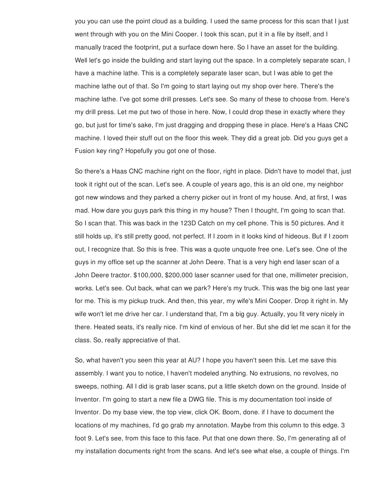you you can use the point cloud as a building. I used the same process for this scan that I just went through with you on the Mini Cooper. I took this scan, put it in a file by itself, and I manually traced the footprint, put a surface down here. So I have an asset for the building. Well let's go inside the building and start laying out the space. In a completely separate scan, I have a machine lathe. This is a completely separate laser scan, but I was able to get the machine lathe out of that. So I'm going to start laying out my shop over here. There's the machine lathe. I've got some drill presses. Let's see. So many of these to choose from. Here's my drill press. Let me put two of those in here. Now, I could drop these in exactly where they go, but just for time's sake, I'm just dragging and dropping these in place. Here's a Haas CNC machine. I loved their stuff out on the floor this week. They did a great job. Did you guys get a Fusion key ring? Hopefully you got one of those.

So there's a Haas CNC machine right on the floor, right in place. Didn't have to model that, just took it right out of the scan. Let's see. A couple of years ago, this is an old one, my neighbor got new windows and they parked a cherry picker out in front of my house. And, at first, I was mad. How dare you guys park this thing in my house? Then I thought, I'm going to scan that. So I scan that. This was back in the 123D Catch on my cell phone. This is 50 pictures. And it still holds up, it's still pretty good, not perfect. If I zoom in it looks kind of hideous. But if I zoom out, I recognize that. So this is free. This was a quote unquote free one. Let's see. One of the guys in my office set up the scanner at John Deere. That is a very high end laser scan of a John Deere tractor. \$100,000, \$200,000 laser scanner used for that one, millimeter precision, works. Let's see. Out back, what can we park? Here's my truck. This was the big one last year for me. This is my pickup truck. And then, this year, my wife's Mini Cooper. Drop it right in. My wife won't let me drive her car. I understand that, I'm a big guy. Actually, you fit very nicely in there. Heated seats, it's really nice. I'm kind of envious of her. But she did let me scan it for the class. So, really appreciative of that.

So, what haven't you seen this year at AU? I hope you haven't seen this. Let me save this assembly. I want you to notice, I haven't modeled anything. No extrusions, no revolves, no sweeps, nothing. All I did is grab laser scans, put a little sketch down on the ground. Inside of Inventor. I'm going to start a new file a DWG file. This is my documentation tool inside of Inventor. Do my base view, the top view, click OK. Boom, done. if I have to document the locations of my machines, I'd go grab my annotation. Maybe from this column to this edge. 3 foot 9. Let's see, from this face to this face. Put that one down there. So, I'm generating all of my installation documents right from the scans. And let's see what else, a couple of things. I'm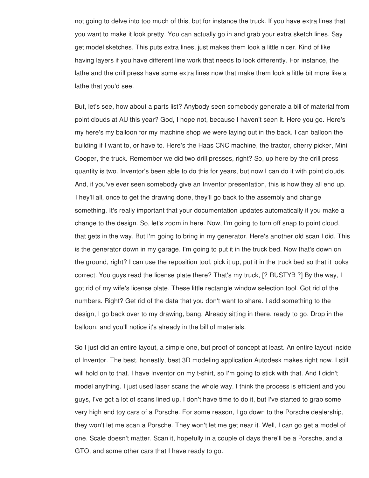not going to delve into too much of this, but for instance the truck. If you have extra lines that you want to make it look pretty. You can actually go in and grab your extra sketch lines. Say get model sketches. This puts extra lines, just makes them look a little nicer. Kind of like having layers if you have different line work that needs to look differently. For instance, the lathe and the drill press have some extra lines now that make them look a little bit more like a lathe that you'd see.

But, let's see, how about a parts list? Anybody seen somebody generate a bill of material from point clouds at AU this year? God, I hope not, because I haven't seen it. Here you go. Here's my here's my balloon for my machine shop we were laying out in the back. I can balloon the building if I want to, or have to. Here's the Haas CNC machine, the tractor, cherry picker, Mini Cooper, the truck. Remember we did two drill presses, right? So, up here by the drill press quantity is two. Inventor's been able to do this for years, but now I can do it with point clouds. And, if you've ever seen somebody give an Inventor presentation, this is how they all end up. They'll all, once to get the drawing done, they'll go back to the assembly and change something. It's really important that your documentation updates automatically if you make a change to the design. So, let's zoom in here. Now, I'm going to turn off snap to point cloud, that gets in the way. But I'm going to bring in my generator. Here's another old scan I did. This is the generator down in my garage. I'm going to put it in the truck bed. Now that's down on the ground, right? I can use the reposition tool, pick it up, put it in the truck bed so that it looks correct. You guys read the license plate there? That's my truck, [? RUSTYB ?] By the way, I got rid of my wife's license plate. These little rectangle window selection tool. Got rid of the numbers. Right? Get rid of the data that you don't want to share. I add something to the design, I go back over to my drawing, bang. Already sitting in there, ready to go. Drop in the balloon, and you'll notice it's already in the bill of materials.

So I just did an entire layout, a simple one, but proof of concept at least. An entire layout inside of Inventor. The best, honestly, best 3D modeling application Autodesk makes right now. I still will hold on to that. I have Inventor on my t-shirt, so I'm going to stick with that. And I didn't model anything. I just used laser scans the whole way. I think the process is efficient and you guys, I've got a lot of scans lined up. I don't have time to do it, but I've started to grab some very high end toy cars of a Porsche. For some reason, I go down to the Porsche dealership, they won't let me scan a Porsche. They won't let me get near it. Well, I can go get a model of one. Scale doesn't matter. Scan it, hopefully in a couple of days there'll be a Porsche, and a GTO, and some other cars that I have ready to go.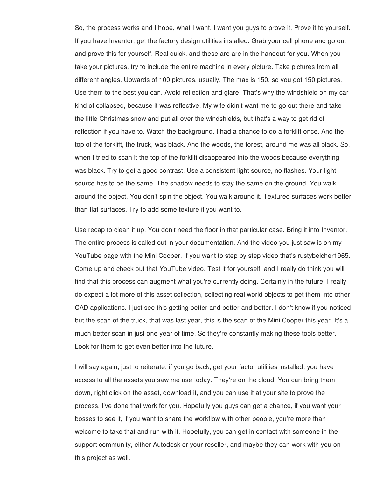So, the process works and I hope, what I want, I want you guys to prove it. Prove it to yourself. If you have Inventor, get the factory design utilities installed. Grab your cell phone and go out and prove this for yourself. Real quick, and these are are in the handout for you. When you take your pictures, try to include the entire machine in every picture. Take pictures from all different angles. Upwards of 100 pictures, usually. The max is 150, so you got 150 pictures. Use them to the best you can. Avoid reflection and glare. That's why the windshield on my car kind of collapsed, because it was reflective. My wife didn't want me to go out there and take the little Christmas snow and put all over the windshields, but that's a way to get rid of reflection if you have to. Watch the background, I had a chance to do a forklift once, And the top of the forklift, the truck, was black. And the woods, the forest, around me was all black. So, when I tried to scan it the top of the forklift disappeared into the woods because everything was black. Try to get a good contrast. Use a consistent light source, no flashes. Your light source has to be the same. The shadow needs to stay the same on the ground. You walk around the object. You don't spin the object. You walk around it. Textured surfaces work better than flat surfaces. Try to add some texture if you want to.

Use recap to clean it up. You don't need the floor in that particular case. Bring it into Inventor. The entire process is called out in your documentation. And the video you just saw is on my YouTube page with the Mini Cooper. If you want to step by step video that's rustybelcher1965. Come up and check out that YouTube video. Test it for yourself, and I really do think you will find that this process can augment what you're currently doing. Certainly in the future, I really do expect a lot more of this asset collection, collecting real world objects to get them into other CAD applications. I just see this getting better and better and better. I don't know if you noticed but the scan of the truck, that was last year, this is the scan of the Mini Cooper this year. It's a much better scan in just one year of time. So they're constantly making these tools better. Look for them to get even better into the future.

I will say again, just to reiterate, if you go back, get your factor utilities installed, you have access to all the assets you saw me use today. They're on the cloud. You can bring them down, right click on the asset, download it, and you can use it at your site to prove the process. I've done that work for you. Hopefully you guys can get a chance, if you want your bosses to see it, if you want to share the workflow with other people, you're more than welcome to take that and run with it. Hopefully, you can get in contact with someone in the support community, either Autodesk or your reseller, and maybe they can work with you on this project as well.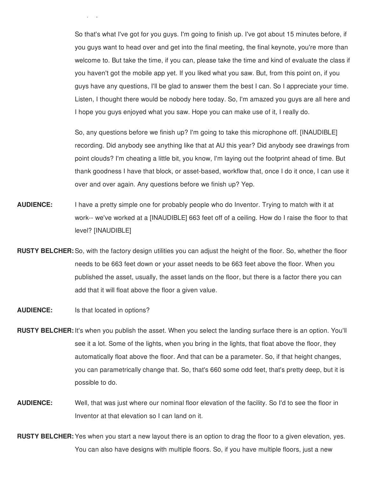So that's what I've got for you guys. I'm going to finish up. I've got about 15 minutes before, if you guys want to head over and get into the final meeting, the final keynote, you're more than welcome to. But take the time, if you can, please take the time and kind of evaluate the class if you haven't got the mobile app yet. If you liked what you saw. But, from this point on, if you guys have any questions, I'll be glad to answer them the best I can. So I appreciate your time. Listen, I thought there would be nobody here today. So, I'm amazed you guys are all here and I hope you guys enjoyed what you saw. Hope you can make use of it, I really do.

So, any questions before we finish up? I'm going to take this microphone off. [INAUDIBLE] recording. Did anybody see anything like that at AU this year? Did anybody see drawings from point clouds? I'm cheating a little bit, you know, I'm laying out the footprint ahead of time. But thank goodness I have that block, or asset-based, workflow that, once I do it once, I can use it over and over again. Any questions before we finish up? Yep.

- **AUDIENCE:** I have a pretty simple one for probably people who do Inventor. Trying to match with it at work-- we've worked at a [INAUDIBLE] 663 feet off of a ceiling. How do I raise the floor to that level? [INAUDIBLE]
- **RUSTY BELCHER:** So, with the factory design utilities you can adjust the height of the floor. So, whether the floor needs to be 663 feet down or your asset needs to be 663 feet above the floor. When you published the asset, usually, the asset lands on the floor, but there is a factor there you can add that it will float above the floor a given value.
- **AUDIENCE:** Is that located in options?

this project as well.

- **RUSTY BELCHER:** It's when you publish the asset. When you select the landing surface there is an option. You'll see it a lot. Some of the lights, when you bring in the lights, that float above the floor, they automatically float above the floor. And that can be a parameter. So, if that height changes, you can parametrically change that. So, that's 660 some odd feet, that's pretty deep, but it is possible to do.
- **AUDIENCE:** Well, that was just where our nominal floor elevation of the facility. So I'd to see the floor in Inventor at that elevation so I can land on it.
- **RUSTY BELCHER:** Yes when you start a new layout there is an option to drag the floor to a given elevation, yes. You can also have designs with multiple floors. So, if you have multiple floors, just a new